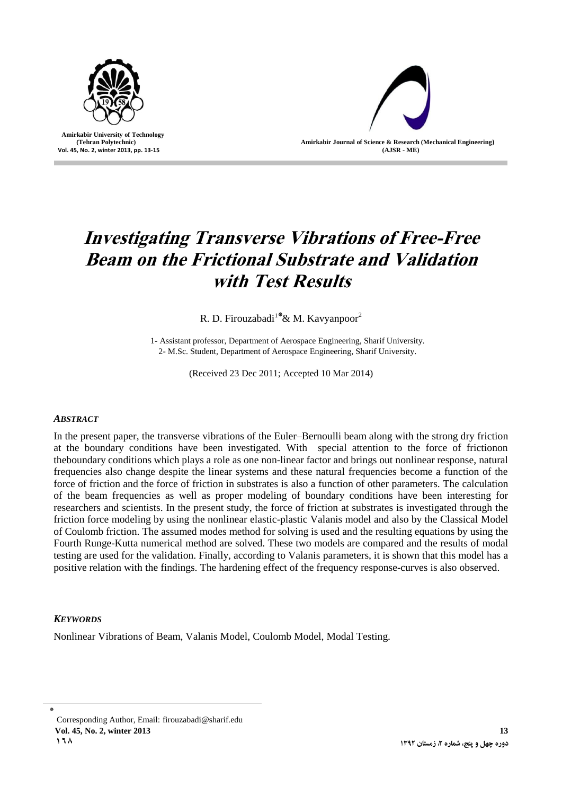

 **Amirkabir University of Technology (Tehran Polytechnic) Vol. 45, No. 2, winter 2013, pp. 13-15**



# **Investigating Transverse Vibrations of Free-Free Beam on the Frictional Substrate and Validation with Test Results**

R. D. Firouzabadi<sup>1\*</sup> & M. Kavyanpoor<sup>2</sup>

1- Assistant professor, Department of Aerospace Engineering, Sharif University. 2- M.Sc. Student, Department of Aerospace Engineering, Sharif University.

(Received 23 Dec 2011; Accepted 10 Mar 2014)

# *ABSTRACT*

In the present paper, the transverse vibrations of the Euler–Bernoulli beam along with the strong dry friction at the boundary conditions have been investigated. With special attention to the force of frictionon theboundary conditions which plays a role as one non-linear factor and brings out nonlinear response, natural frequencies also change despite the linear systems and these natural frequencies become a function of the force of friction and the force of friction in substrates is also a function of other parameters. The calculation of the beam frequencies as well as proper modeling of boundary conditions have been interesting for researchers and scientists. In the present study, the force of friction at substrates is investigated through the friction force modeling by using the nonlinear elastic-plastic Valanis model and also by the Classical Model of Coulomb friction. The assumed modes method for solving is used and the resulting equations by using the Fourth Runge-Kutta numerical method are solved. These two models are compared and the results of modal testing are used for the validation. Finally, according to Valanis parameters, it is shown that this model has a positive relation with the findings. The hardening effect of the frequency response-curves is also observed.

# *KEYWORDS*

Nonlinear Vibrations of Beam, Valanis Model, Coulomb Model, Modal Testing.

٭ Corresponding Author, Email: [firouzabadi@sharif.edu](mailto:firouzabadi@sharif.edu) **Vol. 45, No. 2, winter 2013 13 618**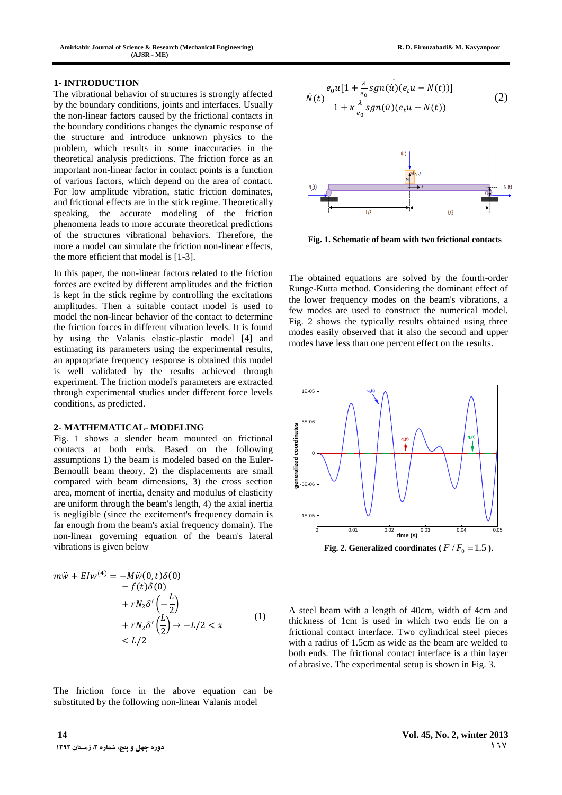#### **1- INTRODUCTION**

The vibrational behavior of structures is strongly affected by the boundary conditions, joints and interfaces. Usually the non-linear factors caused by the frictional contacts in the boundary conditions changes the dynamic response of the structure and introduce unknown physics to the problem, which results in some inaccuracies in the theoretical analysis predictions. The friction force as an important non-linear factor in contact points is a function of various factors, which depend on the area of contact. For low amplitude vibration, static friction dominates, and frictional effects are in the stick regime. Theoretically speaking, the accurate modeling of the friction phenomena leads to more accurate theoretical predictions of the structures vibrational behaviors. Therefore, the more a model can simulate the friction non-linear effects, the more efficient that model is [1-3].

In this paper, the non-linear factors related to the friction forces are excited by different amplitudes and the friction is kept in the stick regime by controlling the excitations amplitudes. Then a suitable contact model is used to model the non-linear behavior of the contact to determine the friction forces in different vibration levels. It is found by using the Valanis elastic-plastic model [4] and estimating its parameters using the experimental results, an appropriate frequency response is obtained this model is well validated by the results achieved through experiment. The friction model's parameters are extracted through experimental studies under different force levels conditions, as predicted.

#### **2- MATHEMATICAL- MODELING**

Fig. 1 shows a slender beam mounted on frictional contacts at both ends. Based on the following assumptions 1) the beam is modeled based on the Euler-Bernoulli beam theory, 2) the displacements are small compared with beam dimensions, 3) the cross section area, moment of inertia, density and modulus of elasticity are uniform through the beam's length, 4) the axial inertia is negligible (since the excitement's frequency domain is far enough from the beam's axial frequency domain). The non-linear governing equation of the beam's lateral vibrations is given below

$$
m\ddot{w} + EIw^{(4)} = -M\ddot{w}(0, t)\delta(0)
$$
  
-  $f(t)\delta(0)$   
+  $rN_2\delta'\left(-\frac{L}{2}\right)$   
+  $rN_2\delta'\left(\frac{L}{2}\right) \rightarrow -L/2 < x$   
<  $L/2$  (1)

The friction force in the above equation can be substituted by the following non-linear Valanis model

$$
\dot{N}(t) \frac{e_0 u[1 + \frac{\lambda}{e_0} sgn(u)(e_t u - N(t))]}{1 + \kappa \frac{\lambda}{e_0} sgn(u)(e_t u - N(t))}
$$
\n(2)



**Fig. 1. Schematic of beam with two frictional contacts**

The obtained equations are solved by the fourth-order Runge-Kutta method. Considering the dominant effect of the lower frequency modes on the beam's vibrations, a few modes are used to construct the numerical model. Fig. 2 shows the typically results obtained using three modes easily observed that it also the second and upper modes have less than one percent effect on the results.



Fig. 2. Generalized coordinates ( $F/F_0 = 1.5$ ).

A steel beam with a length of 40cm, width of 4cm and thickness of 1cm is used in which two ends lie on a frictional contact interface. Two cylindrical steel pieces with a radius of 1.5cm as wide as the beam are welded to both ends. The frictional contact interface is a thin layer of abrasive. The experimental setup is shown in Fig. 3.